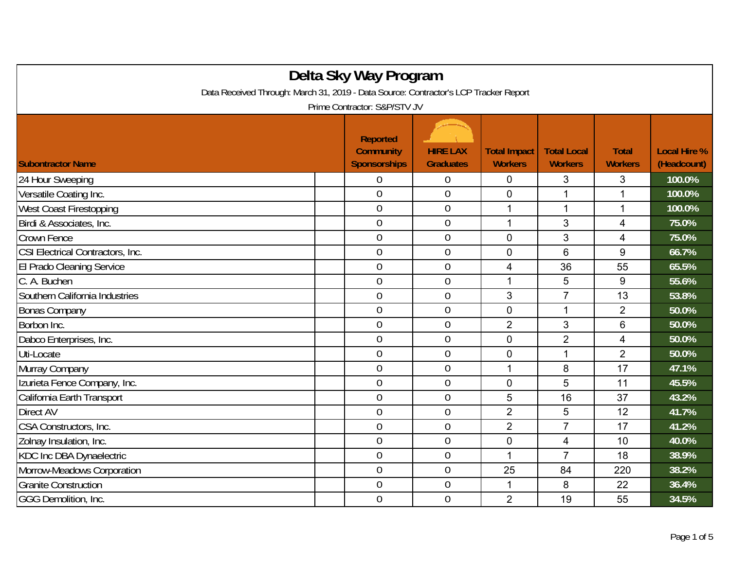| Delta Sky Way Program                                                                |                                                     |                                     |                                       |                                      |                                |                                    |  |
|--------------------------------------------------------------------------------------|-----------------------------------------------------|-------------------------------------|---------------------------------------|--------------------------------------|--------------------------------|------------------------------------|--|
| Data Received Through: March 31, 2019 - Data Source: Contractor's LCP Tracker Report |                                                     |                                     |                                       |                                      |                                |                                    |  |
| Prime Contractor: S&P/STV JV                                                         |                                                     |                                     |                                       |                                      |                                |                                    |  |
| <b>Subontractor Name</b>                                                             | Reported<br><b>Community</b><br><b>Sponsorships</b> | <b>HIRE LAX</b><br><b>Graduates</b> | <b>Total Impact</b><br><b>Workers</b> | <b>Total Local</b><br><b>Workers</b> | <b>Total</b><br><b>Workers</b> | <b>Local Hire %</b><br>(Headcount) |  |
| 24 Hour Sweeping                                                                     | $\Omega$                                            | 0                                   | $\Omega$                              | 3                                    | 3                              | 100.0%                             |  |
| Versatile Coating Inc.                                                               | $\theta$                                            | $\boldsymbol{0}$                    | $\overline{0}$                        | 1                                    |                                | 100.0%                             |  |
| West Coast Firestopping                                                              | $\theta$                                            | 0                                   | 1                                     | 1                                    |                                | 100.0%                             |  |
| Birdi & Associates, Inc.                                                             | $\theta$                                            | $\mathbf 0$                         | 1                                     | 3                                    | 4                              | 75.0%                              |  |
| Crown Fence                                                                          | $\theta$                                            | $\mathbf 0$                         | $\mathbf 0$                           | 3                                    | 4                              | 75.0%                              |  |
| CSI Electrical Contractors, Inc.                                                     | $\theta$                                            | $\boldsymbol{0}$                    | $\mathbf 0$                           | 6                                    | 9                              | 66.7%                              |  |
| El Prado Cleaning Service                                                            | $\theta$                                            | $\boldsymbol{0}$                    | 4                                     | 36                                   | 55                             | 65.5%                              |  |
| C. A. Buchen                                                                         | $\theta$                                            | $\boldsymbol{0}$                    | 1                                     | 5                                    | 9                              | 55.6%                              |  |
| Southern California Industries                                                       | $\theta$                                            | $\mathbf 0$                         | 3                                     | $\overline{7}$                       | 13                             | 53.8%                              |  |
| <b>Bonas Company</b>                                                                 | $\theta$                                            | $\boldsymbol{0}$                    | $\overline{0}$                        | 1                                    | $\overline{2}$                 | 50.0%                              |  |
| Borbon Inc.                                                                          | $\overline{0}$                                      | $\mathbf 0$                         | $\overline{2}$                        | 3                                    | 6                              | 50.0%                              |  |
| Dabco Enterprises, Inc.                                                              | $\theta$                                            | $\boldsymbol{0}$                    | $\mathbf 0$                           | $\overline{2}$                       | 4                              | 50.0%                              |  |
| Uti-Locate                                                                           | $\mathbf 0$                                         | $\overline{0}$                      | $\mathbf 0$                           | 1                                    | $\overline{2}$                 | 50.0%                              |  |
| Murray Company                                                                       | $\theta$                                            | $\overline{0}$                      | 1                                     | 8                                    | 17                             | 47.1%                              |  |
| Izurieta Fence Company, Inc.                                                         | $\theta$                                            | $\overline{0}$                      | $\overline{0}$                        | 5                                    | 11                             | 45.5%                              |  |
| California Earth Transport                                                           | $\theta$                                            | $\overline{0}$                      | 5                                     | 16                                   | 37                             | 43.2%                              |  |
| Direct AV                                                                            | $\theta$                                            | $\mathbf 0$                         | $\overline{2}$                        | 5                                    | 12                             | 41.7%                              |  |
| CSA Constructors, Inc.                                                               | $\overline{0}$                                      | $\mathbf 0$                         | $\overline{2}$                        | $\overline{7}$                       | 17                             | 41.2%                              |  |
| Zolnay Insulation, Inc.                                                              | $\overline{0}$                                      | $\mathbf 0$                         | $\overline{0}$                        | 4                                    | 10                             | 40.0%                              |  |
| KDC Inc DBA Dynaelectric                                                             | $\overline{0}$                                      | $\mathbf 0$                         | 1                                     | $\overline{7}$                       | 18                             | 38.9%                              |  |
| Morrow-Meadows Corporation                                                           | $\theta$                                            | $\boldsymbol{0}$                    | 25                                    | 84                                   | 220                            | 38.2%                              |  |
| <b>Granite Construction</b>                                                          | $\mathbf 0$                                         | $\overline{0}$                      | $\mathbf 1$                           | 8                                    | 22                             | 36.4%                              |  |
| GGG Demolition, Inc.                                                                 | $\theta$                                            | $\overline{0}$                      | $\overline{2}$                        | 19                                   | 55                             | 34.5%                              |  |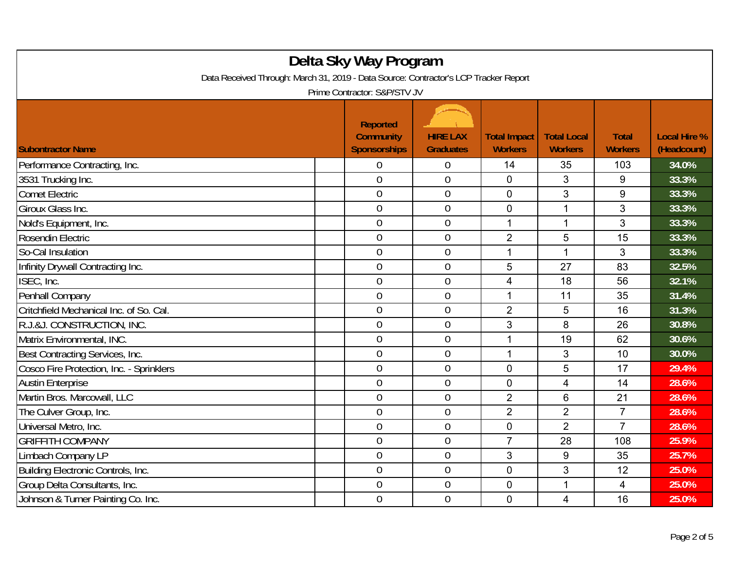| Delta Sky Way Program<br>Data Received Through: March 31, 2019 - Data Source: Contractor's LCP Tracker Report |                                                            |                                     |                                       |                                      |                                |                                    |  |
|---------------------------------------------------------------------------------------------------------------|------------------------------------------------------------|-------------------------------------|---------------------------------------|--------------------------------------|--------------------------------|------------------------------------|--|
| Prime Contractor: S&P/STV JV                                                                                  |                                                            |                                     |                                       |                                      |                                |                                    |  |
| <b>Subontractor Name</b>                                                                                      | <b>Reported</b><br><b>Community</b><br><b>Sponsorships</b> | <b>HIRE LAX</b><br><b>Graduates</b> | <b>Total Impact</b><br><b>Workers</b> | <b>Total Local</b><br><b>Workers</b> | <b>Total</b><br><b>Workers</b> | <b>Local Hire %</b><br>(Headcount) |  |
| Performance Contracting, Inc.                                                                                 | 0                                                          | 0                                   | 14                                    | 35                                   | 103                            | 34.0%                              |  |
| 3531 Trucking Inc.                                                                                            | $\overline{0}$                                             | $\overline{0}$                      | $\mathbf{0}$                          | 3                                    | 9                              | 33.3%                              |  |
| <b>Comet Electric</b>                                                                                         | $\overline{0}$                                             | $\boldsymbol{0}$                    | $\mathbf 0$                           | 3                                    | $\boldsymbol{9}$               | 33.3%                              |  |
| Giroux Glass Inc.                                                                                             | $\boldsymbol{0}$                                           | $\overline{0}$                      | $\mathbf 0$                           | 1                                    | $\mathfrak{S}$                 | 33.3%                              |  |
| Nold's Equipment, Inc.                                                                                        | $\overline{0}$                                             | $\overline{0}$                      | 1                                     | 1                                    | 3                              | 33.3%                              |  |
| Rosendin Electric                                                                                             | $\theta$                                                   | $\overline{0}$                      | $\overline{2}$                        | 5                                    | 15                             | 33.3%                              |  |
| So-Cal Insulation                                                                                             | $\overline{0}$                                             | $\mathbf 0$                         | 1                                     | 1                                    | 3                              | 33.3%                              |  |
| Infinity Drywall Contracting Inc.                                                                             | $\overline{0}$                                             | $\overline{0}$                      | 5                                     | 27                                   | 83                             | 32.5%                              |  |
| ISEC, Inc.                                                                                                    | $\mathbf 0$                                                | $\overline{0}$                      | 4                                     | 18                                   | 56                             | 32.1%                              |  |
| Penhall Company                                                                                               | $\mathbf 0$                                                | $\mathbf 0$                         | $\mathbf 1$                           | 11                                   | 35                             | 31.4%                              |  |
| Critchfield Mechanical Inc. of So. Cal.                                                                       | $\mathbf 0$                                                | $\overline{0}$                      | $\overline{2}$                        | 5                                    | 16                             | 31.3%                              |  |
| R.J.&J. CONSTRUCTION, INC.                                                                                    | $\theta$                                                   | $\overline{0}$                      | 3                                     | 8                                    | 26                             | 30.8%                              |  |
| Matrix Environmental, INC.                                                                                    | $\mathbf 0$                                                | $\mathbf 0$                         | 1                                     | 19                                   | 62                             | 30.6%                              |  |
| Best Contracting Services, Inc.                                                                               | $\overline{0}$                                             | $\overline{0}$                      | 1                                     | 3                                    | 10                             | 30.0%                              |  |
| Cosco Fire Protection, Inc. - Sprinklers                                                                      | $\mathbf 0$                                                | $\mathbf 0$                         | $\mathbf 0$                           | 5                                    | 17                             | 29.4%                              |  |
| <b>Austin Enterprise</b>                                                                                      | $\theta$                                                   | $\boldsymbol{0}$                    | $\mathbf 0$                           | 4                                    | 14                             | 28.6%                              |  |
| Martin Bros. Marcowall, LLC                                                                                   | $\overline{0}$                                             | $\overline{0}$                      | $\overline{2}$                        | 6                                    | 21                             | 28.6%                              |  |
| The Culver Group, Inc.                                                                                        | $\mathbf 0$                                                | $\overline{0}$                      | $\overline{2}$                        | $\overline{2}$                       | $\overline{7}$                 | 28.6%                              |  |
| Universal Metro, Inc.                                                                                         | $\theta$                                                   | $\overline{0}$                      | $\mathbf 0$                           | $\overline{2}$                       | $\overline{7}$                 | 28.6%                              |  |
| <b>GRIFFITH COMPANY</b>                                                                                       | $\mathbf 0$                                                | $\mathbf 0$                         | $\overline{7}$                        | 28                                   | 108                            | 25.9%                              |  |
| Limbach Company LP                                                                                            | $\mathbf 0$                                                | $\mathbf 0$                         | 3                                     | 9                                    | 35                             | 25.7%                              |  |
| Building Electronic Controls, Inc.                                                                            | $\overline{0}$                                             | $\mathbf 0$                         | $\mathbf 0$                           | 3                                    | 12                             | 25.0%                              |  |
| Group Delta Consultants, Inc.                                                                                 | $\overline{0}$                                             | $\boldsymbol{0}$                    | $\overline{0}$                        | $\mathbf 1$                          | $\overline{4}$                 | 25.0%                              |  |
| Johnson & Turner Painting Co. Inc.                                                                            | $\overline{0}$                                             | $\overline{0}$                      | $\mathbf 0$                           | 4                                    | 16                             | 25.0%                              |  |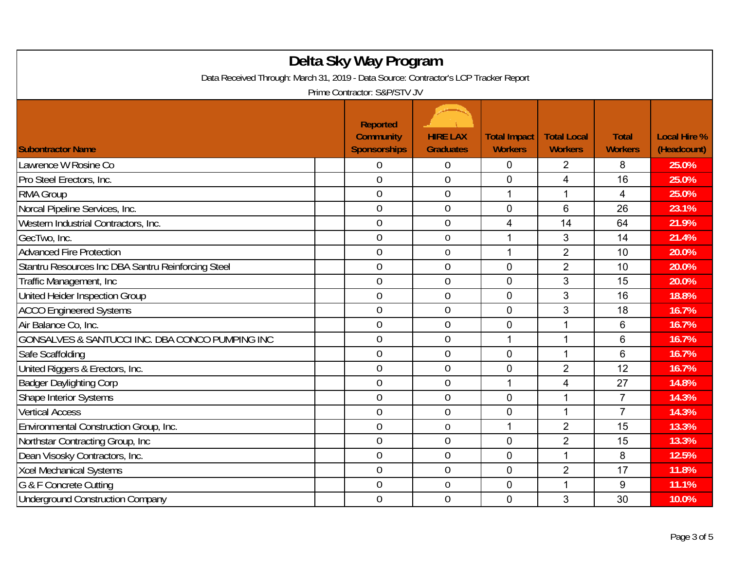| Delta Sky Way Program<br>Data Received Through: March 31, 2019 - Data Source: Contractor's LCP Tracker Report |                                                 |                                     |                                       |                                      |                                |                                    |  |
|---------------------------------------------------------------------------------------------------------------|-------------------------------------------------|-------------------------------------|---------------------------------------|--------------------------------------|--------------------------------|------------------------------------|--|
|                                                                                                               | Prime Contractor: S&P/STV JV<br><b>Reported</b> |                                     |                                       |                                      |                                |                                    |  |
| <b>Subontractor Name</b>                                                                                      | <b>Community</b><br><b>Sponsorships</b>         | <b>HIRE LAX</b><br><b>Graduates</b> | <b>Total Impact</b><br><b>Workers</b> | <b>Total Local</b><br><b>Workers</b> | <b>Total</b><br><b>Workers</b> | <b>Local Hire %</b><br>(Headcount) |  |
| Lawrence W Rosine Co                                                                                          | 0                                               | 0                                   | 0                                     | 2                                    | 8                              | 25.0%                              |  |
| Pro Steel Erectors, Inc.                                                                                      | $\mathbf 0$                                     | $\overline{0}$                      | $\overline{0}$                        | 4                                    | 16                             | 25.0%                              |  |
| <b>RMA Group</b>                                                                                              | $\overline{0}$                                  | $\boldsymbol{0}$                    | 1                                     | 1                                    | 4                              | 25.0%                              |  |
| Norcal Pipeline Services, Inc.                                                                                | $\mathbf 0$                                     | $\mathbf 0$                         | $\mathbf 0$                           | 6                                    | 26                             | 23.1%                              |  |
| Western Industrial Contractors, Inc.                                                                          | $\overline{0}$                                  | $\overline{0}$                      | 4                                     | 14                                   | 64                             | 21.9%                              |  |
| GecTwo, Inc.                                                                                                  | $\boldsymbol{0}$                                | $\boldsymbol{0}$                    | 1                                     | 3                                    | 14                             | 21.4%                              |  |
| <b>Advanced Fire Protection</b>                                                                               | $\overline{0}$                                  | $\mathbf 0$                         | 1                                     | $\overline{2}$                       | 10                             | 20.0%                              |  |
| Stantru Resources Inc DBA Santru Reinforcing Steel                                                            | $\overline{0}$                                  | $\overline{0}$                      | $\overline{0}$                        | $\overline{2}$                       | 10                             | 20.0%                              |  |
| Traffic Management, Inc.                                                                                      | $\theta$                                        | $\boldsymbol{0}$                    | $\mathbf 0$                           | 3                                    | 15                             | 20.0%                              |  |
| United Heider Inspection Group                                                                                | $\boldsymbol{0}$                                | $\boldsymbol{0}$                    | $\mathbf 0$                           | 3                                    | 16                             | 18.8%                              |  |
| <b>ACCO Engineered Systems</b>                                                                                | $\overline{0}$                                  | $\overline{0}$                      | $\overline{0}$                        | 3                                    | 18                             | 16.7%                              |  |
| Air Balance Co, Inc.                                                                                          | $\theta$                                        | $\boldsymbol{0}$                    | $\mathbf 0$                           | 1                                    | 6                              | 16.7%                              |  |
| GONSALVES & SANTUCCI INC. DBA CONCO PUMPING INC                                                               | $\overline{0}$                                  | $\overline{0}$                      | 1                                     | 1                                    | 6                              | 16.7%                              |  |
| Safe Scaffolding                                                                                              | $\overline{0}$                                  | $\overline{0}$                      | 0                                     | 1                                    | 6                              | 16.7%                              |  |
| United Riggers & Erectors, Inc.                                                                               | $\boldsymbol{0}$                                | $\mathbf 0$                         | $\mathbf 0$                           | $\overline{2}$                       | 12                             | 16.7%                              |  |
| <b>Badger Daylighting Corp</b>                                                                                | $\theta$                                        | $\mathbf 0$                         | 1                                     | 4                                    | 27                             | 14.8%                              |  |
| Shape Interior Systems                                                                                        | $\overline{0}$                                  | $\mathbf 0$                         | $\overline{0}$                        | 1                                    | $\overline{7}$                 | 14.3%                              |  |
| <b>Vertical Access</b>                                                                                        | $\mathbf 0$                                     | $\mathbf 0$                         | $\mathbf 0$                           | 1                                    | $\overline{7}$                 | 14.3%                              |  |
| Environmental Construction Group, Inc.                                                                        | $\theta$                                        | $\mathbf 0$                         | 1                                     | $\overline{2}$                       | 15                             | 13.3%                              |  |
| Northstar Contracting Group, Inc                                                                              | $\theta$                                        | $\mathbf 0$                         | $\overline{0}$                        | $\overline{2}$                       | 15                             | 13.3%                              |  |
| Dean Visosky Contractors, Inc.                                                                                | $\theta$                                        | $\overline{0}$                      | $\mathbf 0$                           | 1                                    | 8                              | 12.5%                              |  |
| <b>Xcel Mechanical Systems</b>                                                                                | $\overline{0}$                                  | $\mathbf 0$                         | $\mathbf 0$                           | $\overline{2}$                       | 17                             | 11.8%                              |  |
| G & F Concrete Cutting                                                                                        | 0                                               | $\boldsymbol{0}$                    | 0                                     | 1                                    | 9                              | 11.1%                              |  |
| <b>Underground Construction Company</b>                                                                       | $\overline{0}$                                  | $\overline{0}$                      | $\mathbf 0$                           | 3                                    | 30                             | 10.0%                              |  |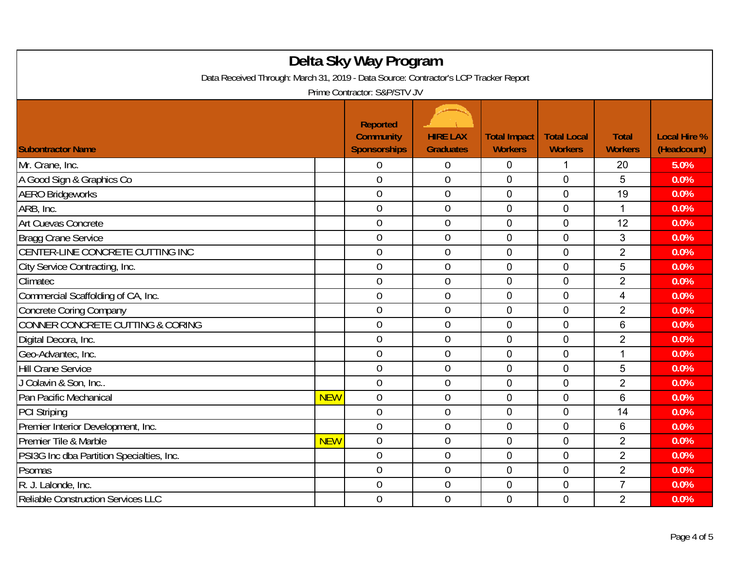| Delta Sky Way Program<br>Data Received Through: March 31, 2019 - Data Source: Contractor's LCP Tracker Report |            |                                                            |                                     |                                       |                                      |                                |                                    |
|---------------------------------------------------------------------------------------------------------------|------------|------------------------------------------------------------|-------------------------------------|---------------------------------------|--------------------------------------|--------------------------------|------------------------------------|
| Prime Contractor: S&P/STV JV                                                                                  |            |                                                            |                                     |                                       |                                      |                                |                                    |
| <b>Subontractor Name</b>                                                                                      |            | <b>Reported</b><br><b>Community</b><br><b>Sponsorships</b> | <b>HIRE LAX</b><br><b>Graduates</b> | <b>Total Impact</b><br><b>Workers</b> | <b>Total Local</b><br><b>Workers</b> | <b>Total</b><br><b>Workers</b> | <b>Local Hire %</b><br>(Headcount) |
| Mr. Crane, Inc.                                                                                               |            | $\theta$                                                   | 0                                   | $\mathbf 0$                           | 1                                    | 20                             | 5.0%                               |
| A Good Sign & Graphics Co                                                                                     |            | $\overline{0}$                                             | $\overline{0}$                      | $\mathbf 0$                           | $\mathbf 0$                          | 5                              | 0.0%                               |
| <b>AERO Bridgeworks</b>                                                                                       |            | $\mathbf 0$                                                | $\boldsymbol{0}$                    | $\mathbf 0$                           | $\mathbf 0$                          | 19                             | 0.0%                               |
| ARB, Inc.                                                                                                     |            | $\mathbf 0$                                                | $\mathbf 0$                         | $\mathbf 0$                           | $\mathbf 0$                          | $\mathbf 1$                    | 0.0%                               |
| Art Cuevas Concrete                                                                                           |            | $\overline{0}$                                             | $\overline{0}$                      | $\overline{0}$                        | $\overline{0}$                       | 12                             | 0.0%                               |
| <b>Bragg Crane Service</b>                                                                                    |            | $\overline{0}$                                             | $\overline{0}$                      | $\overline{0}$                        | $\overline{0}$                       | 3                              | 0.0%                               |
| CENTER-LINE CONCRETE CUTTING INC                                                                              |            | $\mathbf 0$                                                | $\mathbf 0$                         | $\mathbf 0$                           | $\mathbf 0$                          | $\overline{2}$                 | 0.0%                               |
| City Service Contracting, Inc.                                                                                |            | $\overline{0}$                                             | $\overline{0}$                      | $\Omega$                              | $\mathbf 0$                          | 5                              | 0.0%                               |
| Climatec                                                                                                      |            | $\mathbf 0$                                                | $\mathbf 0$                         | $\mathbf 0$                           | $\mathbf 0$                          | $\overline{2}$                 | 0.0%                               |
| Commercial Scaffolding of CA, Inc.                                                                            |            | $\boldsymbol{0}$                                           | $\mathbf 0$                         | $\mathbf 0$                           | $\mathbf 0$                          | 4                              | 0.0%                               |
| <b>Concrete Coring Company</b>                                                                                |            | $\overline{0}$                                             | 0                                   | $\mathbf 0$                           | $\mathbf 0$                          | $\overline{2}$                 | 0.0%                               |
| CONNER CONCRETE CUTTING & CORING                                                                              |            | $\mathbf 0$                                                | $\overline{0}$                      | $\overline{0}$                        | $\overline{0}$                       | 6                              | 0.0%                               |
| Digital Decora, Inc.                                                                                          |            | $\overline{0}$                                             | $\overline{0}$                      | $\mathbf 0$                           | $\mathbf 0$                          | $\overline{2}$                 | 0.0%                               |
| Geo-Advantec, Inc.                                                                                            |            | $\mathbf 0$                                                | 0                                   | $\mathbf 0$                           | $\overline{0}$                       | 1                              | 0.0%                               |
| <b>Hill Crane Service</b>                                                                                     |            | $\mathbf 0$                                                | $\overline{0}$                      | $\mathbf 0$                           | $\mathbf 0$                          | 5                              | 0.0%                               |
| J Colavin & Son, Inc                                                                                          |            | $\overline{0}$                                             | $\mathbf 0$                         | $\mathbf 0$                           | $\mathbf 0$                          | $\overline{2}$                 | 0.0%                               |
| Pan Pacific Mechanical                                                                                        | <b>NEW</b> | $\overline{0}$                                             | $\overline{0}$                      | $\mathbf 0$                           | $\mathbf 0$                          | $6\phantom{1}$                 | 0.0%                               |
| <b>PCI Striping</b>                                                                                           |            | $\overline{0}$                                             | 0                                   | $\mathbf{0}$                          | $\overline{0}$                       | 14                             | 0.0%                               |
| Premier Interior Development, Inc.                                                                            |            | $\overline{0}$                                             | $\mathbf 0$                         | $\mathbf 0$                           | $\overline{0}$                       | 6                              | 0.0%                               |
| Premier Tile & Marble                                                                                         | <b>NEW</b> | $\overline{0}$                                             | $\overline{0}$                      | $\mathbf 0$                           | $\mathbf 0$                          | $\overline{2}$                 | 0.0%                               |
| PSI3G Inc dba Partition Specialties, Inc.                                                                     |            | $\mathbf 0$                                                | $\mathbf 0$                         | $\mathbf 0$                           | $\mathbf 0$                          | $\overline{2}$                 | 0.0%                               |
| Psomas                                                                                                        |            | $\overline{0}$                                             | $\mathbf 0$                         | $\mathbf 0$                           | $\overline{0}$                       | $\overline{2}$                 | 0.0%                               |
| R. J. Lalonde, Inc.                                                                                           |            | $\mathbf 0$                                                | $\mathbf 0$                         | $\mathbf 0$                           | $\mathbf 0$                          | $\overline{7}$                 | 0.0%                               |
| Reliable Construction Services LLC                                                                            |            | $\overline{0}$                                             | $\overline{0}$                      | $\mathbf{0}$                          | $\Omega$                             | $\overline{2}$                 | 0.0%                               |